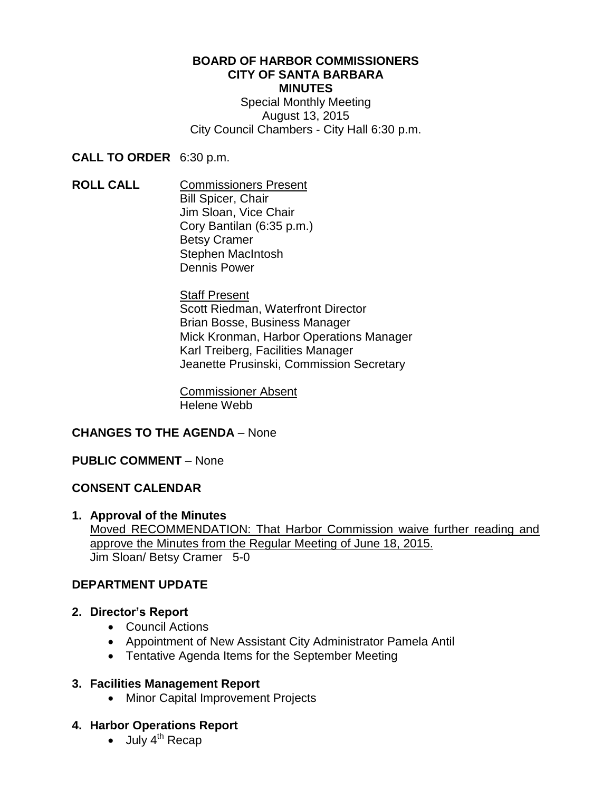### **BOARD OF HARBOR COMMISSIONERS CITY OF SANTA BARBARA MINUTES**

Special Monthly Meeting August 13, 2015 City Council Chambers - City Hall 6:30 p.m.

**CALL TO ORDER** 6:30 p.m.

**ROLL CALL** Commissioners Present Bill Spicer, Chair Jim Sloan, Vice Chair Cory Bantilan (6:35 p.m.) Betsy Cramer Stephen MacIntosh Dennis Power

> **Staff Present** Scott Riedman, Waterfront Director Brian Bosse, Business Manager Mick Kronman, Harbor Operations Manager Karl Treiberg, Facilities Manager Jeanette Prusinski, Commission Secretary

Commissioner Absent Helene Webb

## **CHANGES TO THE AGENDA** – None

## **PUBLIC COMMENT** – None

## **CONSENT CALENDAR**

**1. Approval of the Minutes** Moved RECOMMENDATION: That Harbor Commission waive further reading and approve the Minutes from the Regular Meeting of June 18, 2015. Jim Sloan/ Betsy Cramer 5-0

## **[DEPARTMENT UPDATE](http://santabarbara.granicus.com/MediaPlayer.php?view_id=&clip_id=7342&meta_id=246901)**

- **2. Director's Report**
	- Council Actions
	- Appointment of New Assistant City Administrator Pamela Antil
	- Tentative Agenda Items for the September Meeting

## **3. Facilities Management Report**

• Minor Capital Improvement Projects

## **4. Harbor Operations Report**

 $\bullet$  July 4<sup>th</sup> Recap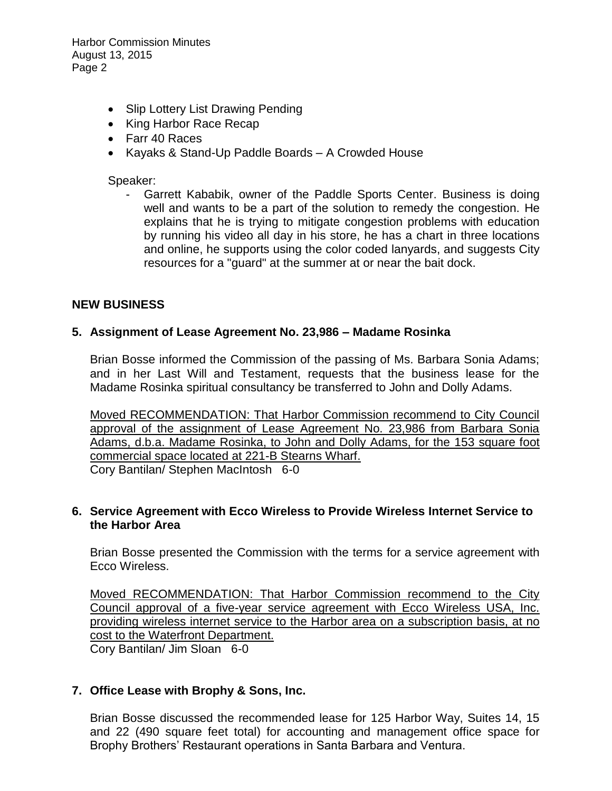Harbor Commission Minutes August 13, 2015 Page 2

- Slip Lottery List Drawing Pending
- King Harbor Race Recap
- Farr 40 Races
- Kayaks & Stand-Up Paddle Boards A Crowded House

#### Speaker:

Garrett Kababik, owner of the Paddle Sports Center. Business is doing well and wants to be a part of the solution to remedy the congestion. He explains that he is trying to mitigate congestion problems with education by running his video all day in his store, he has a chart in three locations and online, he supports using the color coded lanyards, and suggests City resources for a "guard" at the summer at or near the bait dock.

## **NEW BUSINESS**

#### **5. Assignment of Lease Agreement No. 23,986 – Madame Rosinka**

Brian Bosse informed the Commission of the passing of Ms. Barbara Sonia Adams; and in her Last Will and Testament, requests that the business lease for the Madame Rosinka spiritual consultancy be transferred to John and Dolly Adams.

Moved RECOMMENDATION: That Harbor Commission recommend to City Council approval of the assignment of Lease Agreement No. 23,986 from Barbara Sonia Adams, d.b.a. Madame Rosinka, to John and Dolly Adams, for the 153 square foot commercial space located at 221-B Stearns Wharf. Cory Bantilan/ Stephen MacIntosh 6-0

#### **6. Service Agreement with Ecco Wireless to Provide Wireless Internet Service to the Harbor Area**

Brian Bosse presented the Commission with the terms for a service agreement with Ecco Wireless.

Moved RECOMMENDATION: That Harbor Commission recommend to the City Council approval of a five-year service agreement with Ecco Wireless USA, Inc. providing wireless internet service to the Harbor area on a subscription basis, at no cost to the Waterfront Department.

Cory Bantilan/ Jim Sloan 6-0

## **7. Office Lease with Brophy & Sons, Inc.**

Brian Bosse discussed the recommended lease for 125 Harbor Way, Suites 14, 15 and 22 (490 square feet total) for accounting and management office space for Brophy Brothers' Restaurant operations in Santa Barbara and Ventura.